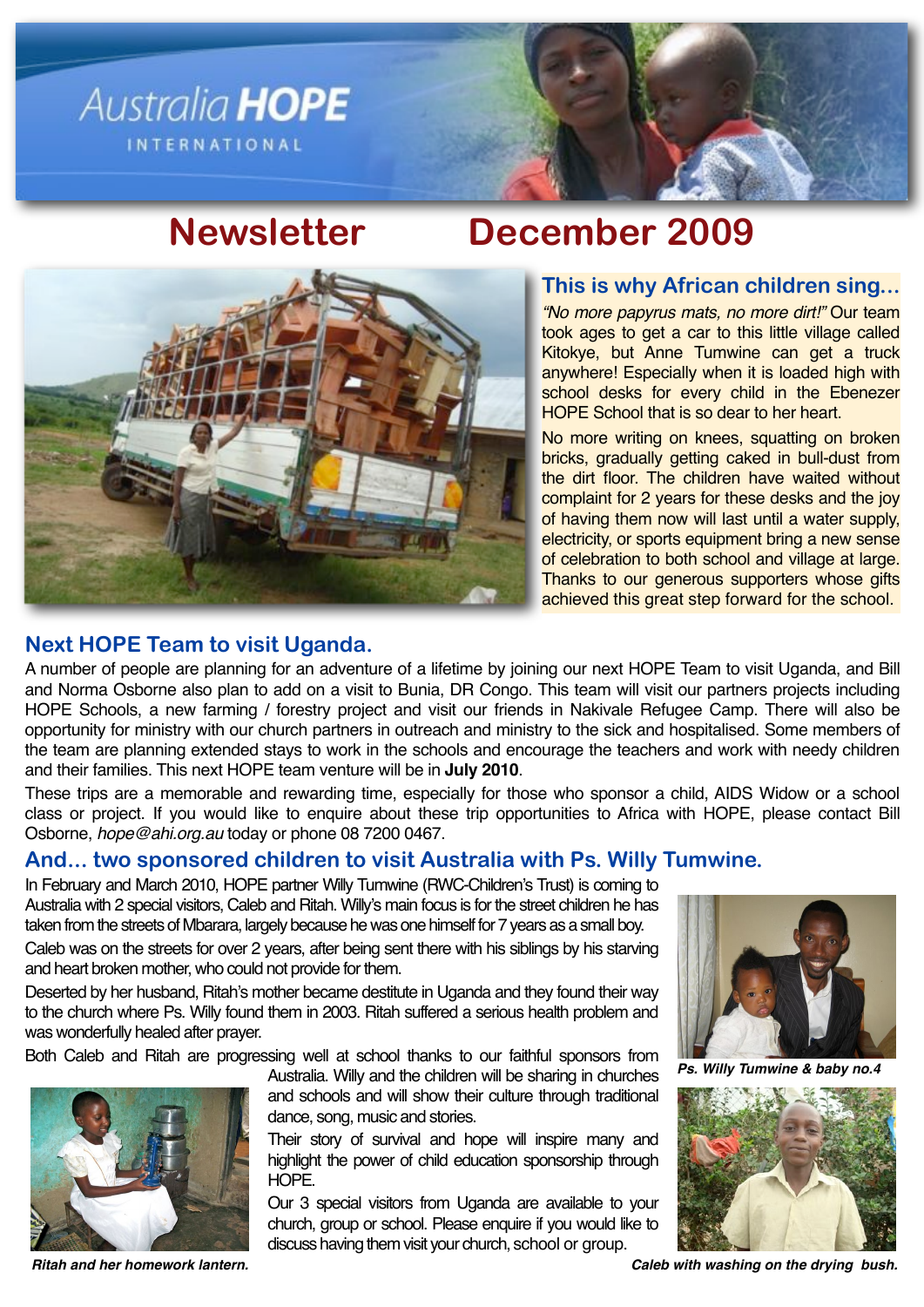

# **Newsletter December 2009**



### **This is why African children sing...**

*"No more papyrus mats, no more dirt!"* Our team took ages to get a car to this little village called Kitokye, but Anne Tumwine can get a truck anywhere! Especially when it is loaded high with school desks for every child in the Ebenezer HOPE School that is so dear to her heart.

No more writing on knees, squatting on broken bricks, gradually getting caked in bull-dust from the dirt floor. The children have waited without complaint for 2 years for these desks and the joy of having them now will last until a water supply, electricity, or sports equipment bring a new sense of celebration to both school and village at large. Thanks to our generous supporters whose gifts achieved this great step forward for the school.

## **Next HOPE Team to visit Uganda.**

A number of people are planning for an adventure of a lifetime by joining our next HOPE Team to visit Uganda, and Bill and Norma Osborne also plan to add on a visit to Bunia, DR Congo. This team will visit our partners projects including HOPE Schools, a new farming / forestry project and visit our friends in Nakivale Refugee Camp. There will also be opportunity for ministry with our church partners in outreach and ministry to the sick and hospitalised. Some members of the team are planning extended stays to work in the schools and encourage the teachers and work with needy children and their families. This next HOPE team venture will be in **July 2010**.

These trips are a memorable and rewarding time, especially for those who sponsor a child, AIDS Widow or a school class or project. If you would like to enquire about these trip opportunities to Africa with HOPE, please contact Bill Osborne, *[hope@ahi.org.au](mailto:hope@ahi.org.au)* today or phone 08 7200 0467.

## **And... two sponsored children to visit Australia with Ps. Willy Tumwine.**

In February and March 2010, HOPE partner Willy Tumwine (RWC-Children's Trust) is coming to Australia with 2 special visitors, Caleb and Ritah. Willy's main focus is for the street children he has taken from the streets of Mbarara, largely because he was one himself for 7 years as a small boy.

Caleb was on the streets for over 2 years, after being sent there with his siblings by his starving and heart broken mother, who could not provide for them.

Deserted by her husband, Ritah's mother became destitute in Uganda and they found their way to the church where Ps. Willy found them in 2003. Ritah suffered a serious health problem and was wonderfully healed after prayer.

Both Caleb and Ritah are progressing well at school thanks to our faithful sponsors from



Australia. Willy and the children will be sharing in churches and schools and will show their culture through traditional dance, song, music and stories.

Their story of survival and hope will inspire many and highlight the power of child education sponsorship through HOPE.

Our 3 special visitors from Uganda are available to your church, group or school. Please enquire if you would like to discuss having them visit your church, school or group.



**Willy Tumwine & baby no.4** 



*Ritah and her homework lantern.***!! ! ! ! !** *Caleb with washing on the drying bush.*